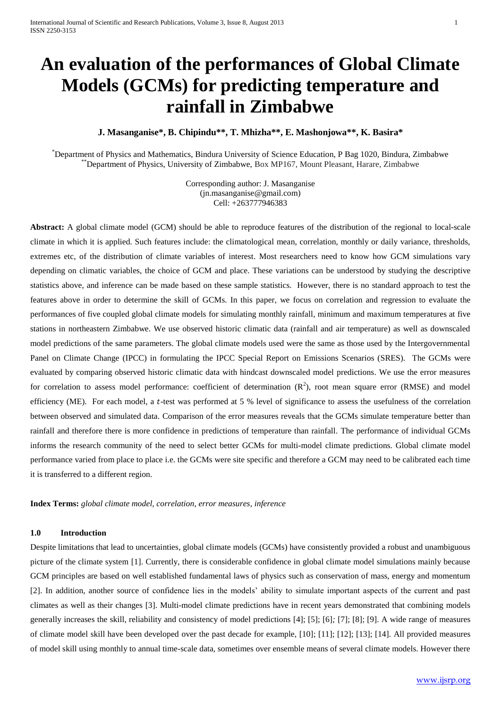# **An evaluation of the performances of Global Climate Models (GCMs) for predicting temperature and rainfall in Zimbabwe**

**J. Masanganise\*, B. Chipindu\*\*, T. Mhizha\*\*, E. Mashonjowa\*\*, K. Basira\***

\*Department of Physics and Mathematics, Bindura University of Science Education, P Bag 1020, Bindura, Zimbabwe \*\*Department of Physics, University of Zimbabwe, Box MP167, Mount Pleasant, Harare, Zimbabwe

> Corresponding author: J. Masanganise [\(jn.masanganise@gmail.com\)](mailto:jn.masanganise@gmail.com) Cell: +263777946383

**Abstract:** A global climate model (GCM) should be able to reproduce features of the distribution of the regional to local-scale climate in which it is applied. Such features include: the climatological mean, correlation, monthly or daily variance, thresholds, extremes etc, of the distribution of climate variables of interest. Most researchers need to know how GCM simulations vary depending on climatic variables, the choice of GCM and place. These variations can be understood by studying the descriptive statistics above, and inference can be made based on these sample statistics. However, there is no standard approach to test the features above in order to determine the skill of GCMs. In this paper, we focus on correlation and regression to evaluate the performances of five coupled global climate models for simulating monthly rainfall, minimum and maximum temperatures at five stations in northeastern Zimbabwe. We use observed historic climatic data (rainfall and air temperature) as well as downscaled model predictions of the same parameters. The global climate models used were the same as those used by the Intergovernmental Panel on Climate Change (IPCC) in formulating the IPCC Special Report on Emissions Scenarios (SRES). The GCMs were evaluated by comparing observed historic climatic data with hindcast downscaled model predictions. We use the error measures for correlation to assess model performance: coefficient of determination  $(R^2)$ , root mean square error (RMSE) and model efficiency (ME). For each model, a t-test was performed at  $5\%$  level of significance to assess the usefulness of the correlation between observed and simulated data. Comparison of the error measures reveals that the GCMs simulate temperature better than rainfall and therefore there is more confidence in predictions of temperature than rainfall. The performance of individual GCMs informs the research community of the need to select better GCMs for multi-model climate predictions. Global climate model performance varied from place to place i.e. the GCMs were site specific and therefore a GCM may need to be calibrated each time it is transferred to a different region.

**Index Terms:** *global climate model, correlation, error measures, inference*

## **1.0 Introduction**

Despite limitations that lead to uncertainties, global climate models (GCMs) have consistently provided a robust and unambiguous picture of the climate system [1]. Currently, there is considerable confidence in global climate model simulations mainly because GCM principles are based on well established fundamental laws of physics such as conservation of mass, energy and momentum [2]. In addition, another source of confidence lies in the models' ability to simulate important aspects of the current and past climates as well as their changes [3]. Multi-model climate predictions have in recent years demonstrated that combining models generally increases the skill, reliability and consistency of model predictions [4]; [5]; [6]*;* [7]; [8]; [9]. A wide range of measures of climate model skill have been developed over the past decade for example, [10]; [11]; [12]; [13]; [14]. All provided measures of model skill using monthly to annual time-scale data, sometimes over ensemble means of several climate models. However there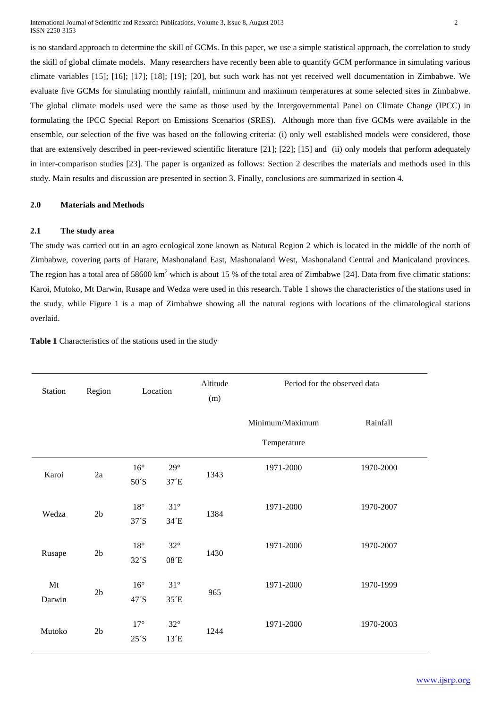is no standard approach to determine the skill of GCMs. In this paper, we use a simple statistical approach, the correlation to study the skill of global climate models. Many researchers have recently been able to quantify GCM performance in simulating various climate variables [15]; [16]; [17]; [18]; [19]; [20], but such work has not yet received well documentation in Zimbabwe. We evaluate five GCMs for simulating monthly rainfall, minimum and maximum temperatures at some selected sites in Zimbabwe. The global climate models used were the same as those used by the Intergovernmental Panel on Climate Change (IPCC) in formulating the IPCC Special Report on Emissions Scenarios (SRES). Although more than five GCMs were available in the ensemble, our selection of the five was based on the following criteria: (i) only well established models were considered, those that are extensively described in peer-reviewed scientific literature [21]; [22]; [15] and (ii) only models that perform adequately in inter-comparison studies [23]. The paper is organized as follows: Section 2 describes the materials and methods used in this study. Main results and discussion are presented in section 3. Finally, conclusions are summarized in section 4.

## **2.0 Materials and Methods**

## **2.1 The study area**

The study was carried out in an agro ecological zone known as Natural Region 2 which is located in the middle of the north of Zimbabwe, covering parts of Harare, Mashonaland East, Mashonaland West, Mashonaland Central and Manicaland provinces. The region has a total area of  $58600 \text{ km}^2$  which is about 15 % of the total area of Zimbabwe [24]. Data from five climatic stations: Karoi, Mutoko, Mt Darwin, Rusape and Wedza were used in this research. Table 1 shows the characteristics of the stations used in the study, while Figure 1 is a map of Zimbabwe showing all the natural regions with locations of the climatological stations overlaid.

**Table 1** Characteristics of the stations used in the study

| Station      | Region         | Location                          |                      | Altitude<br>(m) | Period for the observed data   |           |  |
|--------------|----------------|-----------------------------------|----------------------|-----------------|--------------------------------|-----------|--|
|              |                |                                   |                      |                 | Minimum/Maximum<br>Temperature | Rainfall  |  |
| Karoi        | 2a             | $16^{\circ}$<br>50 <sup>'</sup> S | $29^\circ$<br>37 E   | 1343            | 1971-2000                      | 1970-2000 |  |
| Wedza        | 2 <sub>b</sub> | $18^{\circ}$<br>37 <sup>′</sup> S | $31^\circ$<br>34 E   | 1384            | 1971-2000                      | 1970-2007 |  |
| Rusape       | 2 <sub>b</sub> | $18^{\circ}$<br>$32^{\prime}$ S   | $32^{\circ}$<br>08E  | 1430            | 1971-2000                      | 1970-2007 |  |
| Mt<br>Darwin | 2 <sub>b</sub> | $16^{\circ}$<br>47'S              | $31^{\circ}$<br>35 E | 965             | 1971-2000                      | 1970-1999 |  |
| Mutoko       | 2 <sub>b</sub> | $17^{\circ}$<br>$25^{\prime}$ S   | $32^{\circ}$<br>13 E | 1244            | 1971-2000                      | 1970-2003 |  |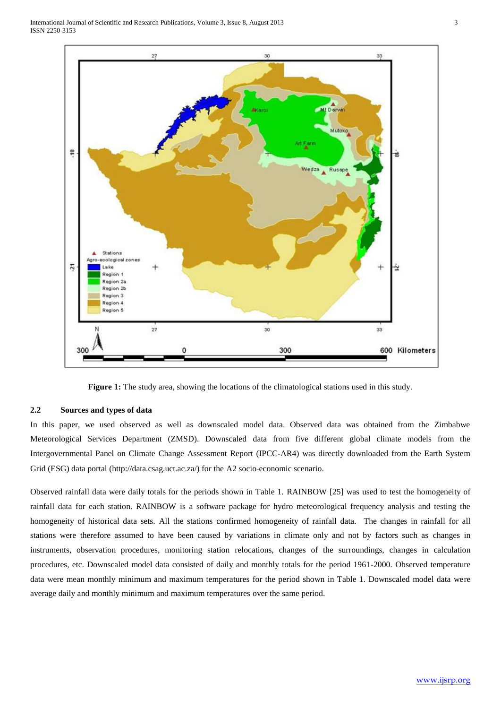International Journal of Scientific and Research Publications, Volume 3, Issue 8, August 2013 3 ISSN 2250-3153



**Figure 1:** The study area, showing the locations of the climatological stations used in this study.

# **2.2 Sources and types of data**

In this paper, we used observed as well as downscaled model data. Observed data was obtained from the Zimbabwe Meteorological Services Department (ZMSD). Downscaled data from five different global climate models from the Intergovernmental Panel on Climate Change Assessment Report (IPCC-AR4) was directly downloaded from the Earth System Grid (ESG) data portal (http://data.csag.uct.ac.za/) for the A2 socio-economic scenario.

Observed rainfall data were daily totals for the periods shown in Table 1. RAINBOW [25] was used to test the homogeneity of rainfall data for each station. RAINBOW is a software package for hydro meteorological frequency analysis and testing the homogeneity of historical data sets. All the stations confirmed homogeneity of rainfall data. The changes in rainfall for all stations were therefore assumed to have been caused by variations in climate only and not by factors such as changes in instruments, observation procedures, monitoring station relocations, changes of the surroundings, changes in calculation procedures, etc. Downscaled model data consisted of daily and monthly totals for the period 1961-2000. Observed temperature data were mean monthly minimum and maximum temperatures for the period shown in Table 1. Downscaled model data were average daily and monthly minimum and maximum temperatures over the same period.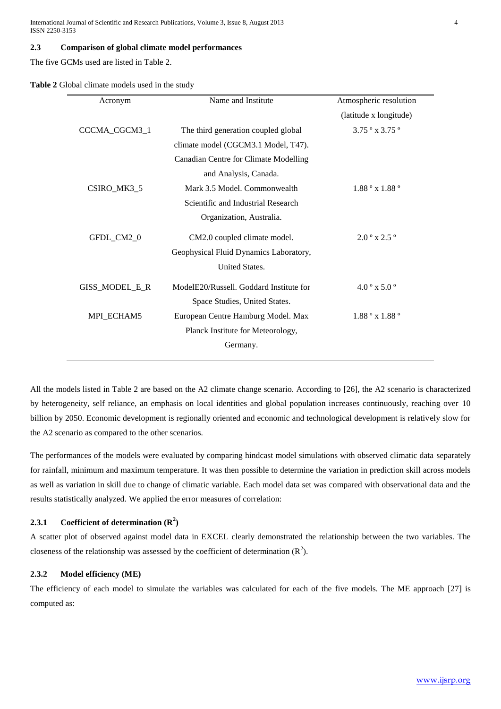International Journal of Scientific and Research Publications, Volume 3, Issue 8, August 2013 4 ISSN 2250-3153

#### **2.3 Comparison of global climate model performances**

The five GCMs used are listed in Table 2.

| Acronym        | Name and Institute                      | Atmospheric resolution          |
|----------------|-----------------------------------------|---------------------------------|
|                |                                         | (latitude x longitude)          |
| CCCMA_CGCM3_1  | The third generation coupled global     | $3.75°$ x 3.75°                 |
|                | climate model (CGCM3.1 Model, T47).     |                                 |
|                | Canadian Centre for Climate Modelling   |                                 |
|                | and Analysis, Canada.                   |                                 |
| CSIRO_MK3_5    | Mark 3.5 Model. Commonwealth            | $1.88^{\circ}$ x $1.88^{\circ}$ |
|                | Scientific and Industrial Research      |                                 |
|                | Organization, Australia.                |                                 |
| GFDL_CM2_0     | CM2.0 coupled climate model.            | $2.0^{\circ}$ x 2.5 $^{\circ}$  |
|                | Geophysical Fluid Dynamics Laboratory,  |                                 |
|                | United States.                          |                                 |
| GISS_MODEL_E_R | ModelE20/Russell. Goddard Institute for | $4.0^{\circ}$ x 5.0 $^{\circ}$  |
|                | Space Studies, United States.           |                                 |
| MPI_ECHAM5     | European Centre Hamburg Model. Max      | $1.88^{\circ}$ x $1.88^{\circ}$ |
|                | Planck Institute for Meteorology,       |                                 |
|                | Germany.                                |                                 |
|                |                                         |                                 |

All the models listed in Table 2 are based on the A2 climate change scenario. According to [26], the A2 scenario is characterized by heterogeneity, self reliance, an emphasis on local identities and global population increases continuously, reaching over 10 billion by 2050. Economic development is regionally oriented and economic and technological development is relatively slow for the A2 scenario as compared to the other scenarios.

The performances of the models were evaluated by comparing hindcast model simulations with observed climatic data separately for rainfall, minimum and maximum temperature. It was then possible to determine the variation in prediction skill across models as well as variation in skill due to change of climatic variable. Each model data set was compared with observational data and the results statistically analyzed. We applied the error measures of correlation:

# **2.3.1 Coefficient of determination (R<sup>2</sup> )**

A scatter plot of observed against model data in EXCEL clearly demonstrated the relationship between the two variables. The closeness of the relationship was assessed by the coefficient of determination  $(R<sup>2</sup>)$ .

#### **2.3.2 Model efficiency (ME)**

The efficiency of each model to simulate the variables was calculated for each of the five models. The ME approach [27] is computed as: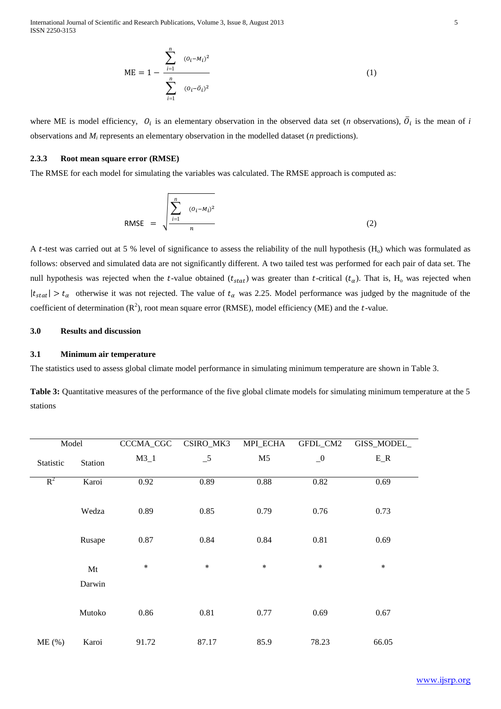International Journal of Scientific and Research Publications, Volume 3, Issue 8, August 2013 5 ISSN 2250-3153

$$
ME = 1 - \frac{\sum_{i=1}^{n} (o_i - M_i)^2}{\sum_{i=1}^{n} (o_i - \bar{o}_i)^2}
$$
 (1)

where ME is model efficiency,  $O_i$  is an elementary observation in the observed data set (*n* observations),  $\overline{O}_i$  is the mean of *i* observations and *M<sup>i</sup>* represents an elementary observation in the modelled dataset (*n* predictions).

#### **2.3.3 Root mean square error (RMSE)**

The RMSE for each model for simulating the variables was calculated. The RMSE approach is computed as:

RMSE = 
$$
\sqrt{\frac{\sum_{i=1}^{n} (o_i - M_i)^2}{n}}
$$
 (2)

A t-test was carried out at 5 % level of significance to assess the reliability of the null hypothesis  $(H<sub>o</sub>)$  which was formulated as follows: observed and simulated data are not significantly different. A two tailed test was performed for each pair of data set. The null hypothesis was rejected when the t-value obtained  $(t_{stat})$  was greater than t-critical  $(t_\alpha)$ . That is, H<sub>o</sub> was rejected when  $|t_{stat}| > t_\alpha$  otherwise it was not rejected. The value of  $t_\alpha$  was 2.25. Model performance was judged by the magnitude of the coefficient of determination  $(R^2)$ , root mean square error (RMSE), model efficiency (ME) and the t-value.

## **3.0 Results and discussion**

### **3.1 Minimum air temperature**

The statistics used to assess global climate model performance in simulating minimum temperature are shown in Table 3.

**Table 3:** Quantitative measures of the performance of the five global climate models for simulating minimum temperature at the 5 stations

| Model     |              | CCCMA_CGC | CSIRO_MK3 | MPI_ECHA       | GFDL_CM2 | GISS_MODEL_ |
|-----------|--------------|-----------|-----------|----------------|----------|-------------|
| Statistic | Station      | $M3_1$    | $-5$      | M <sub>5</sub> | $\_0$    | $E_R$       |
| $R^2$     | Karoi        | 0.92      | 0.89      | 0.88           | 0.82     | 0.69        |
|           | Wedza        | 0.89      | 0.85      | 0.79           | 0.76     | 0.73        |
|           | Rusape       | 0.87      | 0.84      | 0.84           | 0.81     | 0.69        |
|           | Mt<br>Darwin | $\ast$    | $\ast$    | $\ast$         | $\ast$   | $\ast$      |
|           | Mutoko       | 0.86      | 0.81      | 0.77           | 0.69     | 0.67        |
| ME(%)     | Karoi        | 91.72     | 87.17     | 85.9           | 78.23    | 66.05       |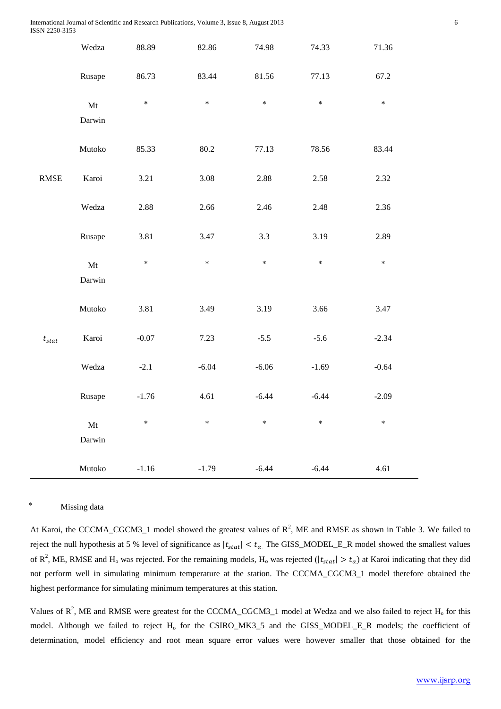|                              | Wedza                            | 88.89   | 82.86   | 74.98   | 74.33   | 71.36   |
|------------------------------|----------------------------------|---------|---------|---------|---------|---------|
|                              | Rusape                           | 86.73   | 83.44   | 81.56   | 77.13   | 67.2    |
|                              | Mt<br>Darwin                     | $\ast$  | $\ast$  | $\ast$  | $\ast$  | $\ast$  |
|                              | Mutoko                           | 85.33   | 80.2    | 77.13   | 78.56   | 83.44   |
| $\ensuremath{\mathsf{RMSE}}$ | Karoi                            | 3.21    | 3.08    | 2.88    | 2.58    | 2.32    |
|                              | Wedza                            | 2.88    | 2.66    | 2.46    | 2.48    | 2.36    |
|                              | Rusape                           | 3.81    | 3.47    | 3.3     | 3.19    | 2.89    |
|                              | $\mathbf{M}\mathbf{t}$<br>Darwin | $\ast$  | $\ast$  | $\ast$  | $\ast$  | $\ast$  |
|                              | Mutoko                           | 3.81    | 3.49    | 3.19    | 3.66    | 3.47    |
| $t_{stat}$                   | Karoi                            | $-0.07$ | 7.23    | $-5.5$  | $-5.6$  | $-2.34$ |
|                              | Wedza                            | $-2.1$  | $-6.04$ | $-6.06$ | $-1.69$ | $-0.64$ |
|                              | Rusape                           | $-1.76$ | 4.61    | $-6.44$ | $-6.44$ | $-2.09$ |
|                              | $\mathbf{M}\mathbf{t}$<br>Darwin | $\ast$  | $\ast$  | $\ast$  | $\ast$  | $\ast$  |
|                              | Mutoko                           | $-1.16$ | $-1.79$ | $-6.44$ | $-6.44$ | 4.61    |

#### Missing data

At Karoi, the CCCMA\_CGCM3\_1 model showed the greatest values of  $R^2$ , ME and RMSE as shown in Table 3. We failed to reject the null hypothesis at 5 % level of significance as  $|t_{stat}| < t_\alpha$ . The GISS\_MODEL\_E\_R model showed the smallest values of  $R^2$ , ME, RMSE and H<sub>o</sub> was rejected. For the remaining models, H<sub>o</sub> was rejected ( $|t_{stat}| > t_\alpha$ ) at Karoi indicating that they did not perform well in simulating minimum temperature at the station. The CCCMA\_CGCM3\_1 model therefore obtained the highest performance for simulating minimum temperatures at this station.

Values of  $R^2$ , ME and RMSE were greatest for the CCCMA\_CGCM3\_1 model at Wedza and we also failed to reject  $H_0$  for this model. Although we failed to reject H<sub>o</sub> for the CSIRO\_MK3\_5 and the GISS\_MODEL\_E\_R models; the coefficient of determination, model efficiency and root mean square error values were however smaller that those obtained for the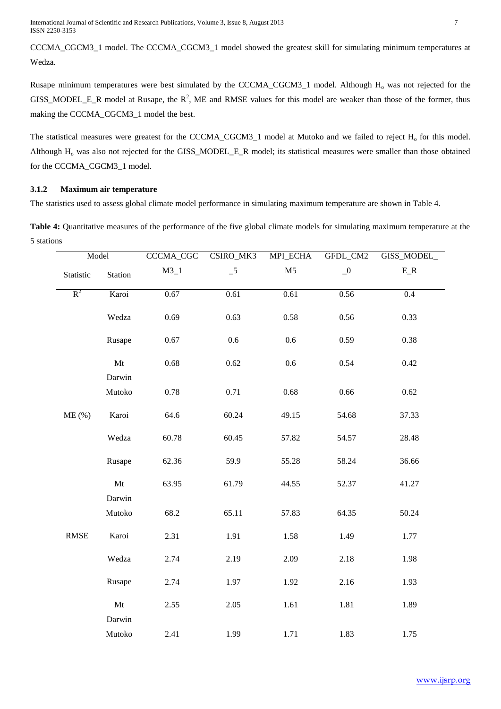International Journal of Scientific and Research Publications, Volume 3, Issue 8, August 2013 7 ISSN 2250-3153

CCCMA\_CGCM3\_1 model. The CCCMA\_CGCM3\_1 model showed the greatest skill for simulating minimum temperatures at Wedza.

Rusape minimum temperatures were best simulated by the CCCMA\_CGCM3\_1 model. Although H<sub>o</sub> was not rejected for the GISS\_MODEL\_E\_R model at Rusape, the  $R^2$ , ME and RMSE values for this model are weaker than those of the former, thus making the CCCMA\_CGCM3\_1 model the best.

The statistical measures were greatest for the CCCMA\_CGCM3\_1 model at Mutoko and we failed to reject  $H_0$  for this model. Although H<sub>o</sub> was also not rejected for the GISS\_MODEL\_E\_R model; its statistical measures were smaller than those obtained for the CCCMA\_CGCM3\_1 model.

## **3.1.2 Maximum air temperature**

The statistics used to assess global climate model performance in simulating maximum temperature are shown in Table 4.

**Table 4:** Quantitative measures of the performance of the five global climate models for simulating maximum temperature at the 5 stations

| Model       |                                  | CCCMA_CGC | CSIRO_MK3                  | MPI_ECHA       | GFDL_CM2 | GISS_MODEL_ |
|-------------|----------------------------------|-----------|----------------------------|----------------|----------|-------------|
| Statistic   | Station                          | $M3_1$    | $\overline{\phantom{0}}^5$ | M <sub>5</sub> | $\_0$    | $E_R$       |
| $R^2$       | Karoi                            | 0.67      | 0.61                       | 0.61           | 0.56     | $0.4\,$     |
|             | Wedza                            | 0.69      | 0.63                       | 0.58           | 0.56     | 0.33        |
|             | Rusape                           | 0.67      | 0.6                        | 0.6            | 0.59     | 0.38        |
|             | Mt                               | 0.68      | 0.62                       | $0.6\,$        | 0.54     | 0.42        |
|             | Darwin                           |           |                            |                |          |             |
|             | Mutoko                           | 0.78      | 0.71                       | 0.68           | 0.66     | 0.62        |
| $ME$ (%)    | Karoi                            | 64.6      | 60.24                      | 49.15          | 54.68    | 37.33       |
|             | Wedza                            | 60.78     | 60.45                      | 57.82          | 54.57    | 28.48       |
|             | Rusape                           | 62.36     | 59.9                       | 55.28          | 58.24    | 36.66       |
|             | Mt                               | 63.95     | 61.79                      | 44.55          | 52.37    | 41.27       |
|             | Darwin                           |           |                            |                |          |             |
|             | Mutoko                           | 68.2      | 65.11                      | 57.83          | 64.35    | 50.24       |
| <b>RMSE</b> | Karoi                            | 2.31      | 1.91                       | 1.58           | 1.49     | 1.77        |
|             | Wedza                            | 2.74      | 2.19                       | 2.09           | 2.18     | 1.98        |
|             | Rusape                           | 2.74      | 1.97                       | 1.92           | 2.16     | 1.93        |
|             | $\mathbf{M}\mathbf{t}$<br>Darwin | 2.55      | 2.05                       | 1.61           | 1.81     | 1.89        |
|             | Mutoko                           | 2.41      | 1.99                       | 1.71           | 1.83     | 1.75        |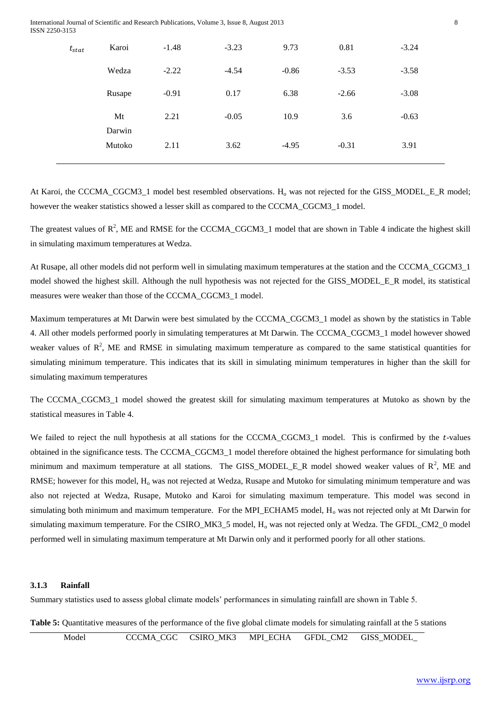| International Journal of Scientific and Research Publications, Volume 3, Issue 8, August 2013 |  |
|-----------------------------------------------------------------------------------------------|--|
| ISSN 2250-3153                                                                                |  |

| $t_{stat}$ | Karoi            | $-1.48$ | $-3.23$ | 9.73    | 0.81    | $-3.24$ |
|------------|------------------|---------|---------|---------|---------|---------|
|            | Wedza            | $-2.22$ | $-4.54$ | $-0.86$ | $-3.53$ | $-3.58$ |
|            | Rusape           | $-0.91$ | 0.17    | 6.38    | $-2.66$ | $-3.08$ |
|            | Mt               | 2.21    | $-0.05$ | 10.9    | 3.6     | $-0.63$ |
|            | Darwin<br>Mutoko | 2.11    | 3.62    | $-4.95$ | $-0.31$ | 3.91    |
|            |                  |         |         |         |         |         |

At Karoi, the CCCMA\_CGCM3\_1 model best resembled observations.  $H_0$  was not rejected for the GISS\_MODEL\_E\_R model; however the weaker statistics showed a lesser skill as compared to the CCCMA\_CGCM3\_1 model.

The greatest values of  $R^2$ , ME and RMSE for the CCCMA\_CGCM3\_1 model that are shown in Table 4 indicate the highest skill in simulating maximum temperatures at Wedza.

At Rusape, all other models did not perform well in simulating maximum temperatures at the station and the CCCMA\_CGCM3\_1 model showed the highest skill. Although the null hypothesis was not rejected for the GISS\_MODEL\_E\_R model, its statistical measures were weaker than those of the CCCMA\_CGCM3\_1 model.

Maximum temperatures at Mt Darwin were best simulated by the CCCMA\_CGCM3\_1 model as shown by the statistics in Table 4. All other models performed poorly in simulating temperatures at Mt Darwin. The CCCMA\_CGCM3\_1 model however showed weaker values of  $\mathbb{R}^2$ , ME and RMSE in simulating maximum temperature as compared to the same statistical quantities for simulating minimum temperature. This indicates that its skill in simulating minimum temperatures in higher than the skill for simulating maximum temperatures

The CCCMA\_CGCM3\_1 model showed the greatest skill for simulating maximum temperatures at Mutoko as shown by the statistical measures in Table 4.

We failed to reject the null hypothesis at all stations for the CCCMA CGCM3 1 model. This is confirmed by the t-values obtained in the significance tests. The CCCMA\_CGCM3\_1 model therefore obtained the highest performance for simulating both minimum and maximum temperature at all stations. The GISS\_MODEL\_E\_R model showed weaker values of  $R^2$ , ME and RMSE; however for this model,  $H_0$  was not rejected at Wedza, Rusape and Mutoko for simulating minimum temperature and was also not rejected at Wedza, Rusape, Mutoko and Karoi for simulating maximum temperature. This model was second in simulating both minimum and maximum temperature. For the MPI\_ECHAM5 model,  $H_0$  was not rejected only at Mt Darwin for simulating maximum temperature. For the CSIRO MK3 $5$  model, H<sub>o</sub> was not rejected only at Wedza. The GFDL CM2 $0$  model performed well in simulating maximum temperature at Mt Darwin only and it performed poorly for all other stations.

## **3.1.3 Rainfall**

Summary statistics used to assess global climate models' performances in simulating rainfall are shown in Table 5.

**Table 5:** Quantitative measures of the performance of the five global climate models for simulating rainfall at the 5 stations

| Model |  | CCCMA CGC CSIRO MK3 MPI ECHA GFDL CM2 GISS MODEL |  |  |  |
|-------|--|--------------------------------------------------|--|--|--|
|-------|--|--------------------------------------------------|--|--|--|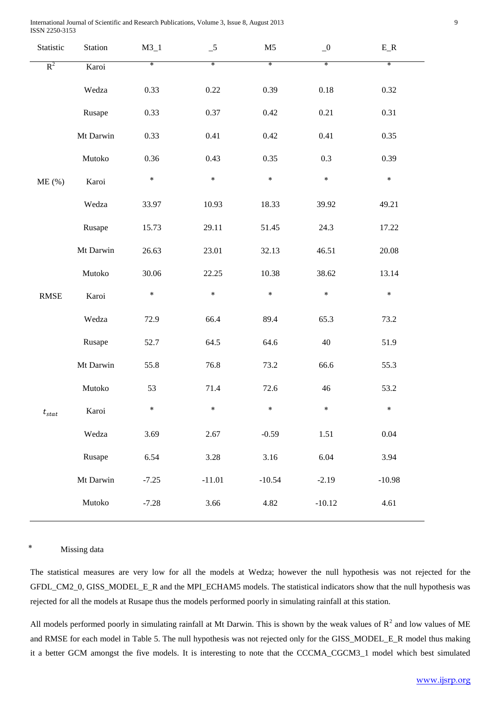| Statistic             | Station   | $M3_1$  | $-5$     | M <sub>5</sub> | $\overline{\phantom{0}}^0$ | $E_R$    |
|-----------------------|-----------|---------|----------|----------------|----------------------------|----------|
| $R^2$                 | Karoi     | $\ast$  | $\ast$   | $\ast$         | $\ast$                     | $\ast$   |
|                       | Wedza     | 0.33    | $0.22\,$ | 0.39           | $0.18\,$                   | 0.32     |
|                       | Rusape    | 0.33    | 0.37     | 0.42           | 0.21                       | 0.31     |
|                       | Mt Darwin | 0.33    | 0.41     | 0.42           | 0.41                       | 0.35     |
|                       | Mutoko    | 0.36    | 0.43     | 0.35           | 0.3                        | 0.39     |
| $ME$ (%)              | Karoi     | $\ast$  | $\ast$   | $\ast$         | $\ast$                     | $\ast$   |
|                       | Wedza     | 33.97   | 10.93    | 18.33          | 39.92                      | 49.21    |
|                       | Rusape    | 15.73   | 29.11    | 51.45          | 24.3                       | 17.22    |
|                       | Mt Darwin | 26.63   | 23.01    | 32.13          | 46.51                      | 20.08    |
|                       | Mutoko    | 30.06   | 22.25    | 10.38          | 38.62                      | 13.14    |
| $\operatorname{RMSE}$ | Karoi     | $\ast$  | $\ast$   | $\ast$         | $\ast$                     | $\ast$   |
|                       | Wedza     | 72.9    | 66.4     | 89.4           | 65.3                       | 73.2     |
|                       | Rusape    | 52.7    | 64.5     | 64.6           | 40                         | 51.9     |
|                       | Mt Darwin | 55.8    | 76.8     | 73.2           | 66.6                       | 55.3     |
|                       | Mutoko    | 53      | 71.4     | 72.6           | $46\,$                     | 53.2     |
| $t_{stat}$            | Karoi     | $\ast$  | $\ast$   | $\ast$         | $\ast$                     | $\ast$   |
|                       | Wedza     | 3.69    | 2.67     | $-0.59$        | 1.51                       | 0.04     |
|                       | Rusape    | 6.54    | 3.28     | 3.16           | 6.04                       | 3.94     |
|                       | Mt Darwin | $-7.25$ | $-11.01$ | $-10.54$       | $-2.19$                    | $-10.98$ |
|                       | Mutoko    | $-7.28$ | 3.66     | 4.82           | $-10.12$                   | 4.61     |
|                       |           |         |          |                |                            |          |

# \* Missing data

The statistical measures are very low for all the models at Wedza; however the null hypothesis was not rejected for the GFDL\_CM2\_0, GISS\_MODEL\_E\_R and the MPI\_ECHAM5 models. The statistical indicators show that the null hypothesis was rejected for all the models at Rusape thus the models performed poorly in simulating rainfall at this station.

All models performed poorly in simulating rainfall at Mt Darwin. This is shown by the weak values of  $\mathbb{R}^2$  and low values of ME and RMSE for each model in Table 5. The null hypothesis was not rejected only for the GISS\_MODEL\_E\_R model thus making it a better GCM amongst the five models. It is interesting to note that the CCCMA\_CGCM3\_1 model which best simulated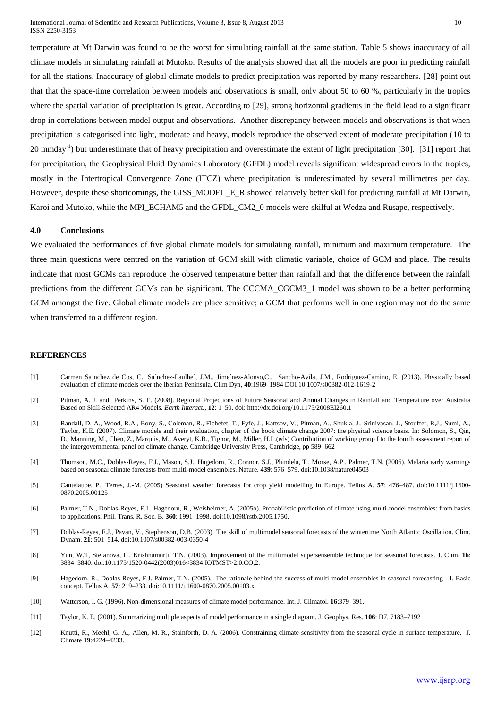temperature at Mt Darwin was found to be the worst for simulating rainfall at the same station. Table 5 shows inaccuracy of all climate models in simulating rainfall at Mutoko. Results of the analysis showed that all the models are poor in predicting rainfall for all the stations. Inaccuracy of global climate models to predict precipitation was reported by many researchers. [28] point out that that the space-time correlation between models and observations is small, only about 50 to 60 %, particularly in the tropics where the spatial variation of precipitation is great. According to [29], strong horizontal gradients in the field lead to a significant drop in correlations between model output and observations. Another discrepancy between models and observations is that when precipitation is categorised into light, moderate and heavy, models reproduce the observed extent of moderate precipitation (10 to 20 mmday<sup>-1</sup>) but underestimate that of heavy precipitation and overestimate the extent of light precipitation [30]. [31] report that for precipitation, the Geophysical Fluid Dynamics Laboratory (GFDL) model reveals significant widespread errors in the tropics, mostly in the Intertropical Convergence Zone (ITCZ) where precipitation is underestimated by several millimetres per day. However, despite these shortcomings, the GISS\_MODEL\_E\_R showed relatively better skill for predicting rainfall at Mt Darwin, Karoi and Mutoko, while the MPI\_ECHAM5 and the GFDL\_CM2\_0 models were skilful at Wedza and Rusape, respectively.

#### **4.0 Conclusions**

We evaluated the performances of five global climate models for simulating rainfall, minimum and maximum temperature. The three main questions were centred on the variation of GCM skill with climatic variable, choice of GCM and place. The results indicate that most GCMs can reproduce the observed temperature better than rainfall and that the difference between the rainfall predictions from the different GCMs can be significant. The CCCMA\_CGCM3\_1 model was shown to be a better performing GCM amongst the five. Global climate models are place sensitive; a GCM that performs well in one region may not do the same when transferred to a different region.

## **REFERENCES**

- [1] Carmen Sa´nchez de Cos, C., Sa´nchez-Laulhe´, J.M., Jime´nez-Alonso,C., Sancho-Avila, J.M., Rodriguez-Camino, E. (2013). Physically based evaluation of climate models over the Iberian Peninsula. Clim Dyn, **40**:1969–1984 DOI 10.1007/s00382-012-1619-2
- [2] Pitman, A. J. and Perkins, S. E. (2008). Regional Projections of Future Seasonal and Annual Changes in Rainfall and Temperature over Australia Based on Skill-Selected AR4 Models. *Earth Interact.*, **12**: 1–50. doi: http://dx.doi.org/10.1175/2008EI260.1
- [3] Randall, D. A., Wood, R.A., Bony, S., Coleman, R., Fichefet, T., Fyfe, J., Kattsov, V., Pitman, A., Shukla, J., Srinivasan, J., Stouffer, R,J,, Sumi, A., Taylor, K.E. (2007). Climate models and their evaluation, chapter of the book climate change 2007: the physical science basis. In: Solomon, S., Qin, D., Manning, M., Chen, Z., Marquis, M., Averyt, K.B., Tignor, M., Miller, H.L.(eds) Contribution of working group I to the fourth assessment report of the intergovernmental panel on climate change. Cambridge University Press, Cambridge, pp 589–662
- [4] Thomson, M.C., Doblas-Reyes, F.J., Mason, S.J., Hagedorn, R., Connor, S.J., Phindela, T., Morse, A.P., Palmer, T.N. (2006). Malaria early warnings based on seasonal climate forecasts from multi-model ensembles. Nature. **439**: 576–579. doi:10.1038/nature04503
- [5] Cantelaube, P., Terres, J.-M. (2005) Seasonal weather forecasts for crop yield modelling in Europe. Tellus A. **57**: 476–487. doi:10.1111/j.1600- 0870.2005.00125
- [6] Palmer, T.N., Doblas-Reyes, F.J., Hagedorn, R., Weisheimer, A. (2005b). Probabilistic prediction of climate using multi-model ensembles: from basics to applications. Phil. Trans. R. Soc. B. **360**: 1991–1998. doi:10.1098/rstb.2005.1750.
- [7] Doblas-Reyes, F.J., Pavan, V., Stephenson, D.B. (2003). The skill of multimodel seasonal forecasts of the wintertime North Atlantic Oscillation. Clim. Dynam. **21**: 501–514. doi:10.1007/s00382-003-0350-4
- [8] Yun, W.T, Stefanova, L., Krishnamurti, T.N. (2003). Improvement of the multimodel supersensemble technique for seasonal forecasts. J. Clim. **16**: 3834–3840. doi:10.1175/1520-0442(2003)016<3834:IOTMST>2.0.CO;2.
- [9] Hagedorn, R., Doblas-Reyes, F.J. Palmer, T.N. (2005). The rationale behind the success of multi-model ensembles in seasonal forecasting—I. Basic concept. Tellus A. **57**: 219–233. doi:10.1111/j.1600-0870.2005.00103.x.
- [10] Watterson, I. G. (1996). Non-dimensional measures of climate model performance. Int. J. Climatol. **16**:379–391.
- [11] Taylor, K. E. (2001). Summarizing multiple aspects of model performance in a single diagram. J. Geophys. Res. **106**: D7. 7183–7192
- [12] Knutti, R., Meehl, G. A., Allen, M. R., Stainforth, D. A. (2006). Constraining climate sensitivity from the seasonal cycle in surface temperature. J. Climate **19**:4224–4233.